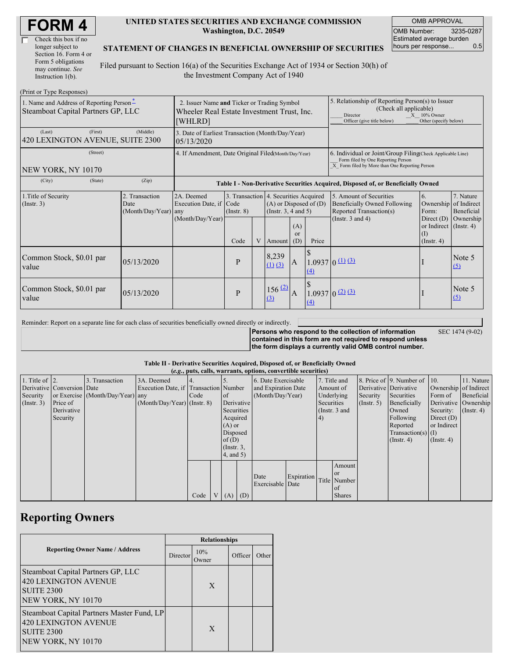| <b>FORM4</b> |
|--------------|
|--------------|

| Check this box if no  |
|-----------------------|
| longer subject to     |
| Section 16. Form 4 or |
| Form 5 obligations    |
| may continue. See     |
| Instruction $1(b)$ .  |

#### **UNITED STATES SECURITIES AND EXCHANGE COMMISSION Washington, D.C. 20549**

OMB APPROVAL OMB Number: 3235-0287 Estimated average burden hours per response... 0.5

### **STATEMENT OF CHANGES IN BENEFICIAL OWNERSHIP OF SECURITIES**

Filed pursuant to Section 16(a) of the Securities Exchange Act of 1934 or Section 30(h) of the Investment Company Act of 1940

| (Print or Type Responses)                                                      |                                                                                                      |                                                                                  |                         |   |                                                                                                                                                  |                                                                                                                      |                                                                                                                                                    |                                                                                                                    |                                                                                                   |                                                     |
|--------------------------------------------------------------------------------|------------------------------------------------------------------------------------------------------|----------------------------------------------------------------------------------|-------------------------|---|--------------------------------------------------------------------------------------------------------------------------------------------------|----------------------------------------------------------------------------------------------------------------------|----------------------------------------------------------------------------------------------------------------------------------------------------|--------------------------------------------------------------------------------------------------------------------|---------------------------------------------------------------------------------------------------|-----------------------------------------------------|
| 1. Name and Address of Reporting Person-<br>Steamboat Capital Partners GP, LLC | 2. Issuer Name and Ticker or Trading Symbol<br>Wheeler Real Estate Investment Trust, Inc.<br>[WHLRD] |                                                                                  |                         |   |                                                                                                                                                  | 5. Relationship of Reporting Person(s) to Issuer<br>(Check all applicable)<br>Director<br>Officer (give title below) | $X = 10\%$ Owner<br>Other (specify below)                                                                                                          |                                                                                                                    |                                                                                                   |                                                     |
| (First)<br>(Last)<br>420 LEXINGTON AVENUE, SUITE 2300                          | (Middle)                                                                                             | 3. Date of Earliest Transaction (Month/Day/Year)<br>05/13/2020                   |                         |   |                                                                                                                                                  |                                                                                                                      |                                                                                                                                                    |                                                                                                                    |                                                                                                   |                                                     |
| (Street)<br>NEW YORK, NY 10170                                                 | 4. If Amendment, Date Original Filed(Month/Day/Year)                                                 |                                                                                  |                         |   |                                                                                                                                                  |                                                                                                                      | 6. Individual or Joint/Group Filing Check Applicable Line)<br>Form filed by One Reporting Person<br>X Form filed by More than One Reporting Person |                                                                                                                    |                                                                                                   |                                                     |
| (State)<br>(City)                                                              | (Zip)                                                                                                | Table I - Non-Derivative Securities Acquired, Disposed of, or Beneficially Owned |                         |   |                                                                                                                                                  |                                                                                                                      |                                                                                                                                                    |                                                                                                                    |                                                                                                   |                                                     |
| 1. Title of Security<br>(Insert. 3)                                            | 2. Transaction<br>Date<br>(Month/Day/Year) any                                                       | 2A. Deemed<br>Execution Date, if Code<br>(Month/Day/Year)                        | $($ Instr. $8)$<br>Code | V | 3. Transaction 4. Securities Acquired<br>$(A)$ or Disposed of $(D)$<br>(Instr. $3, 4$ and $5$ )<br>(A)<br><sub>or</sub><br>Amount $(D)$<br>Price |                                                                                                                      |                                                                                                                                                    | 5. Amount of Securities<br><b>Beneficially Owned Following</b><br>Reported Transaction(s)<br>(Instr. $3$ and $4$ ) | 6.<br>Ownership<br>Form:<br>Direct (D)<br>or Indirect $($ Instr. 4 $)$<br>(I)<br>$($ Instr. 4 $)$ | 7. Nature<br>of Indirect<br>Beneficial<br>Ownership |
| Common Stock, \$0.01 par<br>value                                              | 05/13/2020                                                                                           |                                                                                  | P                       |   | 8,239<br>$(1)$ $(3)$                                                                                                                             | $\mathbf{A}$                                                                                                         | $\left(4\right)$                                                                                                                                   | $1.0937 \mid 0 \text{ } (\frac{11}{3})$                                                                            |                                                                                                   | Note 5<br>$\Omega$                                  |
| Common Stock, \$0.01 par<br>value                                              | 05/13/2020                                                                                           |                                                                                  | P                       |   | 156(2)<br>(3)                                                                                                                                    | A                                                                                                                    | (4)                                                                                                                                                | $1.0937(0)$ $(2)$ $(3)$                                                                                            |                                                                                                   | Note 5<br>(5)                                       |

Reminder: Report on a separate line for each class of securities beneficially owned directly or indirectly.

**Persons who respond to the collection of information contained in this form are not required to respond unless the form displays a currently valid OMB control number.** SEC 1474 (9-02)

#### **Table II - Derivative Securities Acquired, Disposed of, or Beneficially Owned**

| (e.g., puts, calls, warrants, options, convertible securities) |                            |                                  |                                       |      |  |                                   |            |                     |            |           |               |                       |                          |                       |                  |
|----------------------------------------------------------------|----------------------------|----------------------------------|---------------------------------------|------|--|-----------------------------------|------------|---------------------|------------|-----------|---------------|-----------------------|--------------------------|-----------------------|------------------|
| 1. Title of $\vert$ 2.                                         |                            | 3. Transaction                   | 3A. Deemed                            |      |  |                                   |            | 6. Date Exercisable |            |           | 7. Title and  |                       | 8. Price of 9. Number of | $\vert$ 10.           | 11. Nature       |
|                                                                | Derivative Conversion Date |                                  | Execution Date, if Transaction Number |      |  |                                   |            | and Expiration Date |            | Amount of |               | Derivative Derivative |                          | Ownership of Indirect |                  |
| Security                                                       |                            | or Exercise (Month/Day/Year) any |                                       | Code |  | (Month/Day/Year)<br><sub>of</sub> |            |                     | Underlying | Security  | Securities    | Form of               | Beneficial               |                       |                  |
| $($ Instr. 3 $)$                                               | Price of                   |                                  | $(Month/Day/Year)$ (Instr. 8)         |      |  |                                   | Derivative |                     | Securities |           | $($ Instr. 5) | Beneficially          |                          | Derivative Ownership  |                  |
|                                                                | Derivative                 |                                  |                                       |      |  | Securities                        |            |                     |            |           | (Instr. 3 and |                       | Owned                    | Security:             | $($ Instr. 4 $)$ |
|                                                                | Security                   |                                  |                                       |      |  | Acquired                          |            |                     |            | 4)        |               |                       | Following                | Direct $(D)$          |                  |
|                                                                |                            |                                  |                                       |      |  | $(A)$ or                          |            |                     |            |           |               |                       | Reported                 | or Indirect           |                  |
|                                                                |                            |                                  |                                       |      |  | Disposed                          |            |                     |            |           |               |                       | Transaction(s) $(I)$     |                       |                  |
|                                                                |                            |                                  |                                       |      |  | of(D)                             |            |                     |            |           |               |                       | $($ Instr. 4 $)$         | $($ Instr. 4 $)$      |                  |
|                                                                |                            |                                  |                                       |      |  | $($ Instr. $3,$                   |            |                     |            |           |               |                       |                          |                       |                  |
|                                                                |                            |                                  |                                       |      |  | $4$ , and $5$ )                   |            |                     |            |           |               |                       |                          |                       |                  |
|                                                                |                            |                                  |                                       |      |  |                                   |            |                     |            |           | Amount        |                       |                          |                       |                  |
|                                                                |                            |                                  |                                       |      |  |                                   |            |                     |            |           | <sub>or</sub> |                       |                          |                       |                  |
|                                                                |                            |                                  |                                       |      |  |                                   |            | Date                | Expiration |           | Title Number  |                       |                          |                       |                  |
|                                                                |                            |                                  |                                       |      |  |                                   |            | Exercisable Date    |            |           | of            |                       |                          |                       |                  |
|                                                                |                            |                                  |                                       | Code |  | V(A)                              | (D)        |                     |            |           | <b>Shares</b> |                       |                          |                       |                  |

## **Reporting Owners**

|                                                                                                                      | <b>Relationships</b> |              |         |       |  |  |
|----------------------------------------------------------------------------------------------------------------------|----------------------|--------------|---------|-------|--|--|
| <b>Reporting Owner Name / Address</b>                                                                                | Director             | 10%<br>Dwner | Officer | Other |  |  |
| Steamboat Capital Partners GP, LLC<br><b>420 LEXINGTON AVENUE</b><br><b>SUITE 2300</b><br>NEW YORK, NY 10170         |                      | X            |         |       |  |  |
| Steamboat Capital Partners Master Fund, LP<br><b>420 LEXINGTON AVENUE</b><br><b>SUITE 2300</b><br>NEW YORK, NY 10170 |                      | X            |         |       |  |  |